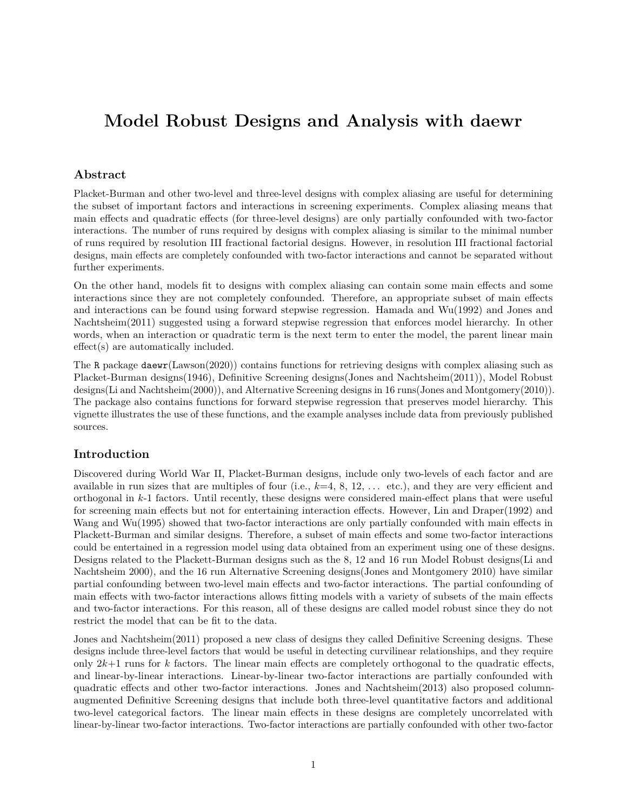# **Model Robust Designs and Analysis with daewr**

## **Abstract**

Placket-Burman and other two-level and three-level designs with complex aliasing are useful for determining the subset of important factors and interactions in screening experiments. Complex aliasing means that main effects and quadratic effects (for three-level designs) are only partially confounded with two-factor interactions. The number of runs required by designs with complex aliasing is similar to the minimal number of runs required by resolution III fractional factorial designs. However, in resolution III fractional factorial designs, main effects are completely confounded with two-factor interactions and cannot be separated without further experiments.

On the other hand, models fit to designs with complex aliasing can contain some main effects and some interactions since they are not completely confounded. Therefore, an appropriate subset of main effects and interactions can be found using forward stepwise regression. Hamada and Wu(1992) and Jones and Nachtsheim(2011) suggested using a forward stepwise regression that enforces model hierarchy. In other words, when an interaction or quadratic term is the next term to enter the model, the parent linear main effect(s) are automatically included.

The R package daewr(Lawson(2020)) contains functions for retrieving designs with complex aliasing such as Placket-Burman designs(1946), Definitive Screening designs(Jones and Nachtsheim(2011)), Model Robust designs(Li and Nachtsheim(2000)), and Alternative Screening designs in 16 runs(Jones and Montgomery(2010)). The package also contains functions for forward stepwise regression that preserves model hierarchy. This vignette illustrates the use of these functions, and the example analyses include data from previously published sources.

## **Introduction**

Discovered during World War II, Placket-Burman designs, include only two-levels of each factor and are available in run sizes that are multiples of four (i.e.,  $k=4, 8, 12, \ldots$  etc.), and they are very efficient and orthogonal in *k*-1 factors. Until recently, these designs were considered main-effect plans that were useful for screening main effects but not for entertaining interaction effects. However, Lin and Draper(1992) and Wang and Wu(1995) showed that two-factor interactions are only partially confounded with main effects in Plackett-Burman and similar designs. Therefore, a subset of main effects and some two-factor interactions could be entertained in a regression model using data obtained from an experiment using one of these designs. Designs related to the Plackett-Burman designs such as the 8, 12 and 16 run Model Robust designs(Li and Nachtsheim 2000), and the 16 run Alternative Screening designs(Jones and Montgomery 2010) have similar partial confounding between two-level main effects and two-factor interactions. The partial confounding of main effects with two-factor interactions allows fitting models with a variety of subsets of the main effects and two-factor interactions. For this reason, all of these designs are called model robust since they do not restrict the model that can be fit to the data.

Jones and Nachtsheim(2011) proposed a new class of designs they called Definitive Screening designs. These designs include three-level factors that would be useful in detecting curvilinear relationships, and they require only 2*k*+1 runs for *k* factors. The linear main effects are completely orthogonal to the quadratic effects, and linear-by-linear interactions. Linear-by-linear two-factor interactions are partially confounded with quadratic effects and other two-factor interactions. Jones and Nachtsheim(2013) also proposed columnaugmented Definitive Screening designs that include both three-level quantitative factors and additional two-level categorical factors. The linear main effects in these designs are completely uncorrelated with linear-by-linear two-factor interactions. Two-factor interactions are partially confounded with other two-factor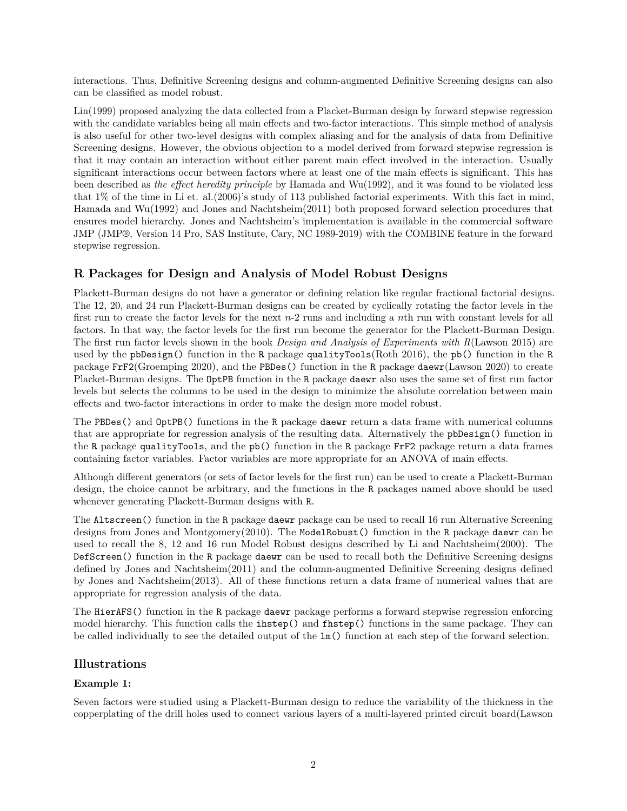interactions. Thus, Definitive Screening designs and column-augmented Definitive Screening designs can also can be classified as model robust.

Lin(1999) proposed analyzing the data collected from a Placket-Burman design by forward stepwise regression with the candidate variables being all main effects and two-factor interactions. This simple method of analysis is also useful for other two-level designs with complex aliasing and for the analysis of data from Definitive Screening designs. However, the obvious objection to a model derived from forward stepwise regression is that it may contain an interaction without either parent main effect involved in the interaction. Usually significant interactions occur between factors where at least one of the main effects is significant. This has been described as *the effect heredity principle* by Hamada and Wu(1992), and it was found to be violated less that 1% of the time in Li et. al.(2006)'s study of 113 published factorial experiments. With this fact in mind, Hamada and Wu(1992) and Jones and Nachtsheim(2011) both proposed forward selection procedures that ensures model hierarchy. Jones and Nachtsheim's implementation is available in the commercial software JMP (JMP®, Version 14 Pro, SAS Institute, Cary, NC 1989-2019) with the COMBINE feature in the forward stepwise regression.

# **R Packages for Design and Analysis of Model Robust Designs**

Plackett-Burman designs do not have a generator or defining relation like regular fractional factorial designs. The 12, 20, and 24 run Plackett-Burman designs can be created by cyclically rotating the factor levels in the first run to create the factor levels for the next *n*-2 runs and including a *n*th run with constant levels for all factors. In that way, the factor levels for the first run become the generator for the Plackett-Burman Design. The first run factor levels shown in the book *Design and Analysis of Experiments with R*(Lawson 2015) are used by the pbDesign() function in the R package qualityTools(Roth 2016), the pb() function in the R package FrF2(Groemping 2020), and the PBDes() function in the R package daewr(Lawson 2020) to create Placket-Burman designs. The OptPB function in the R package daewr also uses the same set of first run factor levels but selects the columns to be used in the design to minimize the absolute correlation between main effects and two-factor interactions in order to make the design more model robust.

The PBDes() and OptPB() functions in the R package daewr return a data frame with numerical columns that are appropriate for regression analysis of the resulting data. Alternatively the pbDesign() function in the R package qualityTools, and the pb() function in the R package FrF2 package return a data frames containing factor variables. Factor variables are more appropriate for an ANOVA of main effects.

Although different generators (or sets of factor levels for the first run) can be used to create a Plackett-Burman design, the choice cannot be arbitrary, and the functions in the R packages named above should be used whenever generating Plackett-Burman designs with R.

The Altscreen() function in the R package daewr package can be used to recall 16 run Alternative Screening designs from Jones and Montgomery(2010). The ModelRobust() function in the R package daewr can be used to recall the 8, 12 and 16 run Model Robust designs described by Li and Nachtsheim(2000). The DefScreen() function in the R package daewr can be used to recall both the Definitive Screening designs defined by Jones and Nachtsheim(2011) and the column-augmented Definitive Screening designs defined by Jones and Nachtsheim(2013). All of these functions return a data frame of numerical values that are appropriate for regression analysis of the data.

The HierAFS() function in the R package daewr package performs a forward stepwise regression enforcing model hierarchy. This function calls the ihstep() and fhstep() functions in the same package. They can be called individually to see the detailed output of the lm() function at each step of the forward selection.

# **Illustrations**

# **Example 1:**

Seven factors were studied using a Plackett-Burman design to reduce the variability of the thickness in the copperplating of the drill holes used to connect various layers of a multi-layered printed circuit board(Lawson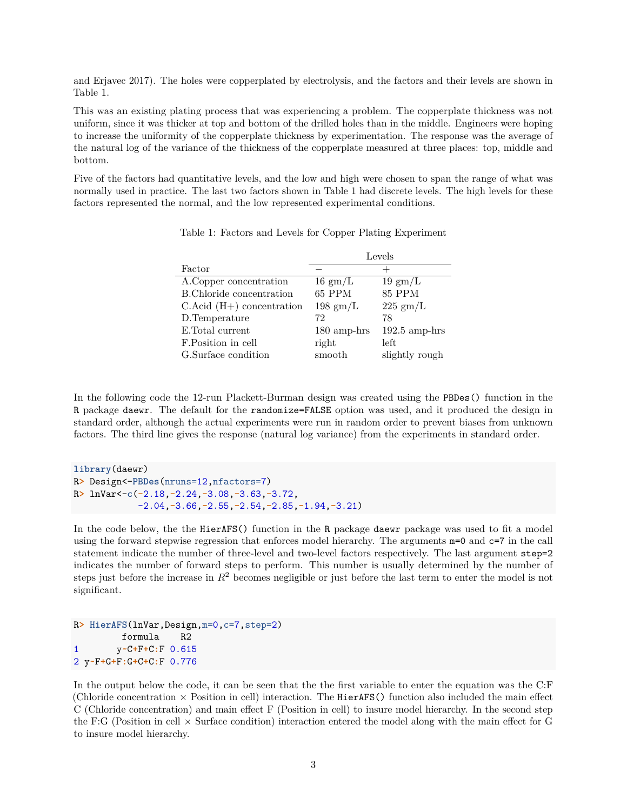and Erjavec 2017). The holes were copperplated by electrolysis, and the factors and their levels are shown in Table 1.

This was an existing plating process that was experiencing a problem. The copperplate thickness was not uniform, since it was thicker at top and bottom of the drilled holes than in the middle. Engineers were hoping to increase the uniformity of the copperplate thickness by experimentation. The response was the average of the natural log of the variance of the thickness of the copperplate measured at three places: top, middle and bottom.

Five of the factors had quantitative levels, and the low and high were chosen to span the range of what was normally used in practice. The last two factors shown in Table 1 had discrete levels. The high levels for these factors represented the normal, and the low represented experimental conditions.

|                                 | Levels             |                   |  |
|---------------------------------|--------------------|-------------------|--|
| Factor                          |                    | $^+$              |  |
| A.Copper concentration          | $16 \text{ gm/L}$  | $19 \text{ gm/L}$ |  |
| B.Chloride concentration        | 65 PPM             | <b>85 PPM</b>     |  |
| $C$ . Acid $(H+)$ concentration | $198 \text{ gm/L}$ | $225$ gm/L        |  |
| D.Temperature                   | 72                 | 78                |  |
| E.Total current                 | $180$ amp-hrs      | $192.5$ amp-hrs   |  |
| F.Position in cell              | right              | left              |  |
| G.Surface condition             | smooth             | slightly rough    |  |

Table 1: Factors and Levels for Copper Plating Experiment

In the following code the 12-run Plackett-Burman design was created using the PBDes() function in the R package daewr. The default for the randomize=FALSE option was used, and it produced the design in standard order, although the actual experiments were run in random order to prevent biases from unknown factors. The third line gives the response (natural log variance) from the experiments in standard order.

**library**(daewr) R**>** Design<-**PBDes**(nruns=12,nfactors=7) R**>** lnVar<-**c**(**-**2.18,**-**2.24,**-**3.08,**-**3.63,**-**3.72, -2.04,**-**3.66,**-**2.55,**-**2.54,**-**2.85,**-**1.94,**-**3.21)

In the code below, the the HierAFS() function in the R package daewr package was used to fit a model using the forward stepwise regression that enforces model hierarchy. The arguments m=0 and c=7 in the call statement indicate the number of three-level and two-level factors respectively. The last argument step=2 indicates the number of forward steps to perform. This number is usually determined by the number of steps just before the increase in  $R^2$  becomes negligible or just before the last term to enter the model is not significant.

```
R> HierAFS(lnVar,Design,m=0,c=7,step=2)
        formula R2
1 y~C+F+C:F 0.615
2 y~F+G+F:G+C+C:F 0.776
```
In the output below the code, it can be seen that the the first variable to enter the equation was the C:F (Chloride concentration  $\times$  Position in cell) interaction. The HierAFS() function also included the main effect C (Chloride concentration) and main effect F (Position in cell) to insure model hierarchy. In the second step the F:G (Position in cell  $\times$  Surface condition) interaction entered the model along with the main effect for G to insure model hierarchy.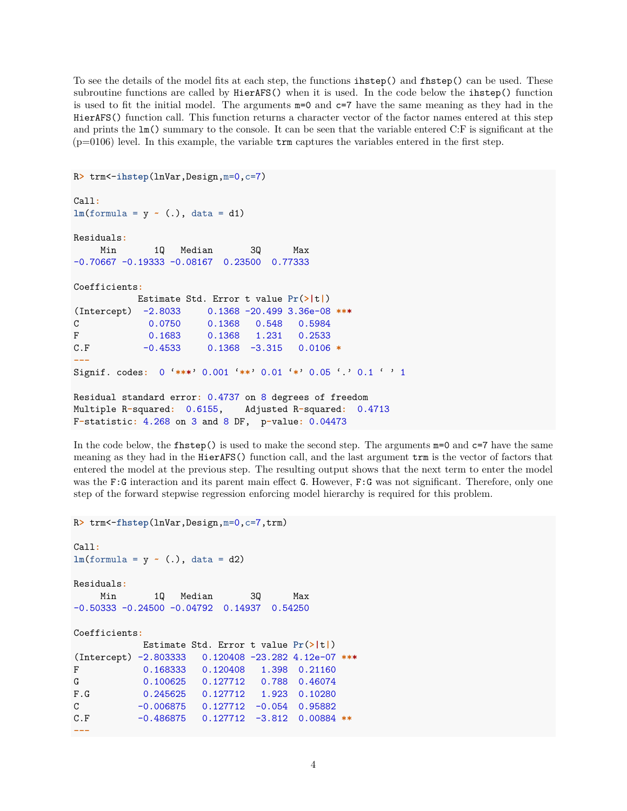To see the details of the model fits at each step, the functions ihstep() and fhstep() can be used. These subroutine functions are called by HierAFS() when it is used. In the code below the ihstep() function is used to fit the initial model. The arguments m=0 and c=7 have the same meaning as they had in the HierAFS() function call. This function returns a character vector of the factor names entered at this step and prints the lm() summary to the console. It can be seen that the variable entered C:F is significant at the  $(p=0106)$  level. In this example, the variable  $\text{trm}$  captures the variables entered in the first step.

```
R> trm<-ihstep(lnVar,Design,m=0,c=7)
Call:
lm(formula = y \sim (.), data = d1)Residuals:
    Min 1Q Median 3Q Max
-0.70667 -0.19333 -0.08167 0.23500 0.77333
Coefficients:
          Estimate Std. Error t value Pr(>|t|)
(Intercept) -2.8033 0.1368 -20.499 3.36e-08 ***
C 0.0750 0.1368 0.548 0.5984
F 0.1683 0.1368 1.231 0.2533
C.F -0.4533 0.1368 -3.315 0.0106 *
---
Signif. codes: 0 '***' 0.001 '**' 0.01 '*' 0.05 '.' 0.1 ' ' 1
Residual standard error: 0.4737 on 8 degrees of freedom
Multiple R-squared: 0.6155, Adjusted R-squared: 0.4713
F-statistic: 4.268 on 3 and 8 DF, p-value: 0.04473
```
In the code below, the  $fhstep()$  is used to make the second step. The arguments  $m=0$  and  $c=7$  have the same meaning as they had in the HierAFS() function call, and the last argument trm is the vector of factors that entered the model at the previous step. The resulting output shows that the next term to enter the model was the F:G interaction and its parent main effect G. However, F:G was not significant. Therefore, only one step of the forward stepwise regression enforcing model hierarchy is required for this problem.

```
R> trm<-fhstep(lnVar,Design,m=0,c=7,trm)
```

```
Call:
lm(formula = y \sim (.), data = d2)
Residuals:
    Min 1Q Median 3Q Max
-0.50333 -0.24500 -0.04792 0.14937 0.54250
Coefficients:
          Estimate Std. Error t value Pr(>|t|)
(Intercept) -2.803333 0.120408 -23.282 4.12e-07 ***
F 0.168333 0.120408 1.398 0.21160
G 0.100625 0.127712 0.788 0.46074
F.G 0.245625 0.127712 1.923 0.10280
C -0.006875 0.127712 -0.054 0.95882
C.F -0.486875 0.127712 -3.812 0.00884 **
---
```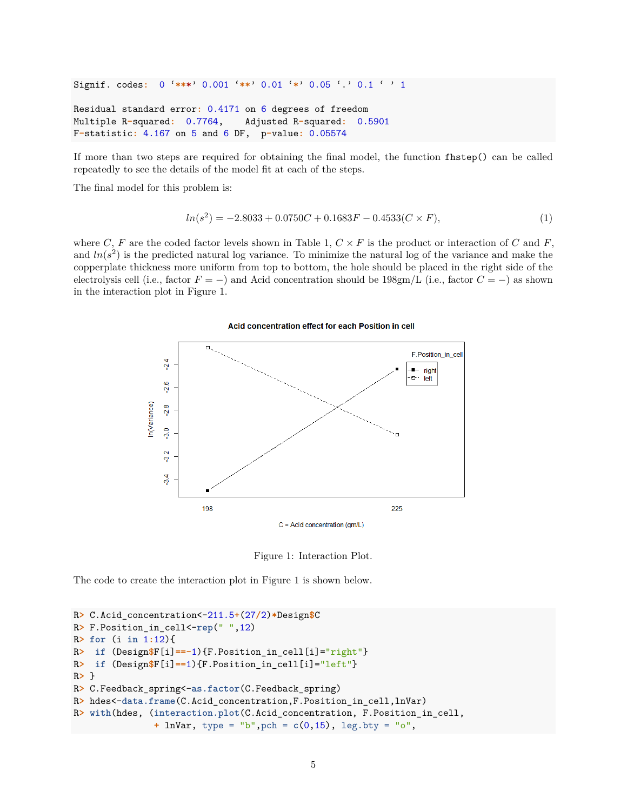Signif. codes**:** 0 '**\*\*\***' 0.001 '**\*\***' 0.01 '**\***' 0.05 '.' 0.1 ' ' 1

```
Residual standard error: 0.4171 on 6 degrees of freedom
Multiple R-squared: 0.7764, Adjusted R-squared: 0.5901
F-statistic: 4.167 on 5 and 6 DF, p-value: 0.05574
```
If more than two steps are required for obtaining the final model, the function fhstep() can be called repeatedly to see the details of the model fit at each of the steps.

The final model for this problem is:

$$
ln(s^2) = -2.8033 + 0.0750C + 0.1683F - 0.4533(C \times F),
$$
\n(1)

where *C*, *F* are the coded factor levels shown in Table 1,  $C \times F$  is the product or interaction of *C* and *F*, and  $ln(s^2)$  is the predicted natural log variance. To minimize the natural log of the variance and make the copperplate thickness more uniform from top to bottom, the hole should be placed in the right side of the electrolysis cell (i.e., factor *F* = −) and Acid concentration should be 198gm/L (i.e., factor *C* = −) as shown in the interaction plot in Figure 1.



Acid concentration effect for each Position in cell

Figure 1: Interaction Plot.

The code to create the interaction plot in Figure 1 is shown below.

```
R> C.Acid_concentration<-211.5+(27/2)*Design$C
R> F.Position_in_cell<-rep(" ",12)
R> for (i in 1:12){
R> if (Design$F[i]==-1){F.Position_in_cell[i]="right"}
R> if (Design$F[i]==1){F.Position_in_cell[i]="left"}
R> }
R> C.Feedback_spring<-as.factor(C.Feedback_spring)
R> hdes<-data.frame(C.Acid_concentration,F.Position_in_cell,lnVar)
R> with(hdes, (interaction.plot(C.Acid_concentration, F.Position_in_cell,
               + lnVar, type = "b",pch = c(0,15), leg.bty = "o",
```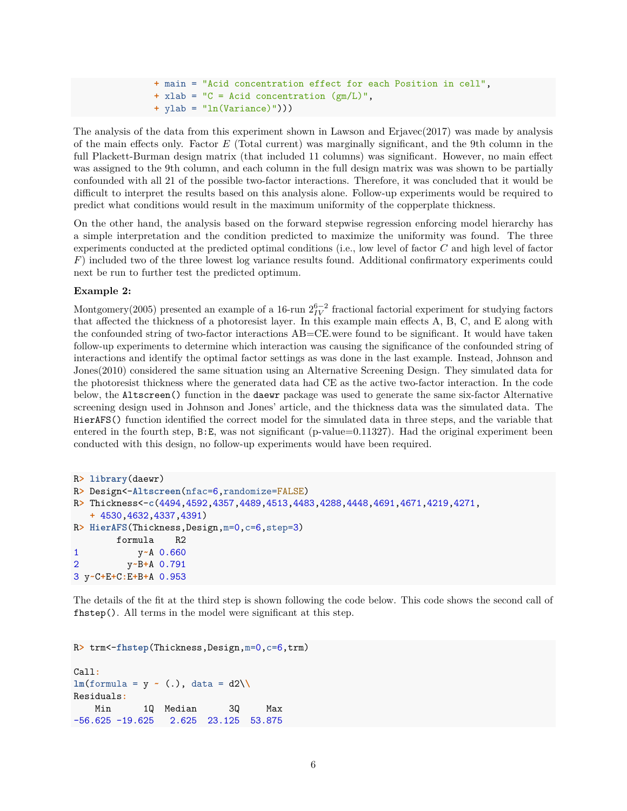```
+ main = "Acid concentration effect for each Position in cell",
+ xlab = "C = Acid concentration (gm/L)",
+ ylab = "ln(Variance)")))
```
The analysis of the data from this experiment shown in Lawson and Erjavec(2017) was made by analysis of the main effects only. Factor *E* (Total current) was marginally significant, and the 9th column in the full Plackett-Burman design matrix (that included 11 columns) was significant. However, no main effect was assigned to the 9th column, and each column in the full design matrix was was shown to be partially confounded with all 21 of the possible two-factor interactions. Therefore, it was concluded that it would be difficult to interpret the results based on this analysis alone. Follow-up experiments would be required to predict what conditions would result in the maximum uniformity of the copperplate thickness.

On the other hand, the analysis based on the forward stepwise regression enforcing model hierarchy has a simple interpretation and the condition predicted to maximize the uniformity was found. The three experiments conducted at the predicted optimal conditions (i.e., low level of factor *C* and high level of factor *F*) included two of the three lowest log variance results found. Additional confirmatory experiments could next be run to further test the predicted optimum.

#### **Example 2:**

Montgomery(2005) presented an example of a 16-run  $2^{6-2}_{IV}$  fractional factorial experiment for studying factors that affected the thickness of a photoresist layer. In this example main effects A, B, C, and E along with the confounded string of two-factor interactions AB=CE.were found to be significant. It would have taken follow-up experiments to determine which interaction was causing the significance of the confounded string of interactions and identify the optimal factor settings as was done in the last example. Instead, Johnson and Jones(2010) considered the same situation using an Alternative Screening Design. They simulated data for the photoresist thickness where the generated data had CE as the active two-factor interaction. In the code below, the Altscreen() function in the daewr package was used to generate the same six-factor Alternative screening design used in Johnson and Jones' article, and the thickness data was the simulated data. The HierAFS() function identified the correct model for the simulated data in three steps, and the variable that entered in the fourth step,  $B: E$ , was not significant (p-value=0.11327). Had the original experiment been conducted with this design, no follow-up experiments would have been required.

```
R> library(daewr)
R> Design<-Altscreen(nfac=6,randomize=FALSE)
R> Thickness<-c(4494,4592,4357,4489,4513,4483,4288,4448,4691,4671,4219,4271,
   + 4530,4632,4337,4391)
R> HierAFS(Thickness,Design,m=0,c=6,step=3)
       formula R2
1 y~A 0.660
2 y~B+A 0.791
3 y~C+E+C:E+B+A 0.953
```
The details of the fit at the third step is shown following the code below. This code shows the second call of fhstep(). All terms in the model were significant at this step.

```
R> trm<-fhstep(Thickness,Design,m=0,c=6,trm)
Call:
lm(formula = y \sim (.), data = d2\lambda)Residuals:
   Min 1Q Median 3Q Max
-56.625 -19.625 2.625 23.125 53.875
```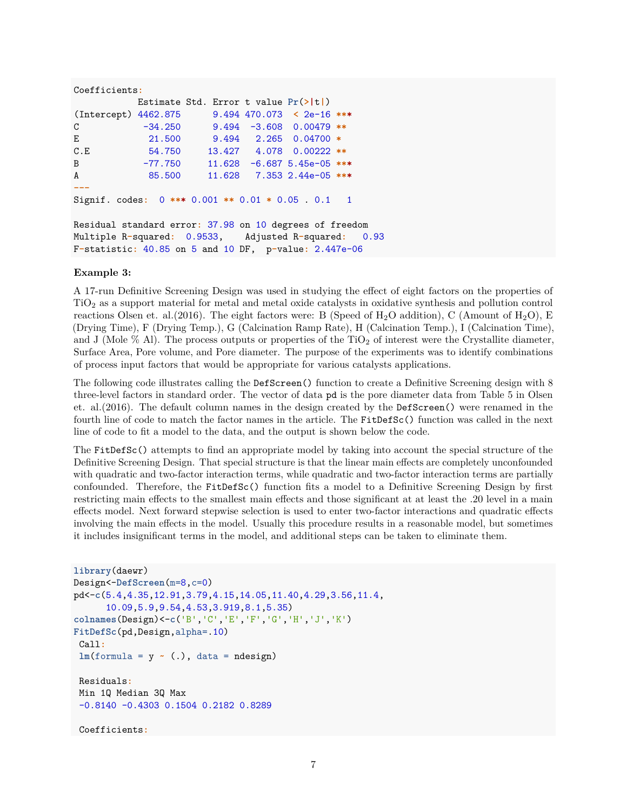```
Coefficients:
          Estimate Std. Error t value Pr(>|t|)
(Intercept) 4462.875 9.494 470.073 < 2e-16 ***
C -34.250 9.494 -3.608 0.00479 **
E 21.500 9.494 2.265 0.04700 *
C.E 54.750 13.427 4.078 0.00222 **
B -77.750 11.628 -6.687 5.45e-05 ***
A 85.500 11.628 7.353 2.44e-05 ***
---
Signif. codes: 0 *** 0.001 ** 0.01 * 0.05 . 0.1 1
Residual standard error: 37.98 on 10 degrees of freedom
Multiple R-squared: 0.9533, Adjusted R-squared: 0.93
F-statistic: 40.85 on 5 and 10 DF, p-value: 2.447e-06
```
#### **Example 3:**

A 17-run Definitive Screening Design was used in studying the effect of eight factors on the properties of TiO<sup>2</sup> as a support material for metal and metal oxide catalysts in oxidative synthesis and pollution control reactions Olsen et. al. (2016). The eight factors were: B (Speed of  $H_2O$  addition), C (Amount of  $H_2O$ ), E (Drying Time), F (Drying Temp.), G (Calcination Ramp Rate), H (Calcination Temp.), I (Calcination Time), and J (Mole  $\%$  Al). The process outputs or properties of the TiO<sub>2</sub> of interest were the Crystallite diameter, Surface Area, Pore volume, and Pore diameter. The purpose of the experiments was to identify combinations of process input factors that would be appropriate for various catalysts applications.

The following code illustrates calling the DefScreen() function to create a Definitive Screening design with 8 three-level factors in standard order. The vector of data pd is the pore diameter data from Table 5 in Olsen et. al.(2016). The default column names in the design created by the DefScreen() were renamed in the fourth line of code to match the factor names in the article. The FitDefSc() function was called in the next line of code to fit a model to the data, and the output is shown below the code.

The FitDefSc() attempts to find an appropriate model by taking into account the special structure of the Definitive Screening Design. That special structure is that the linear main effects are completely unconfounded with quadratic and two-factor interaction terms, while quadratic and two-factor interaction terms are partially confounded. Therefore, the FitDefSc() function fits a model to a Definitive Screening Design by first restricting main effects to the smallest main effects and those significant at at least the .20 level in a main effects model. Next forward stepwise selection is used to enter two-factor interactions and quadratic effects involving the main effects in the model. Usually this procedure results in a reasonable model, but sometimes it includes insignificant terms in the model, and additional steps can be taken to eliminate them.

```
library(daewr)
Design<-DefScreen(m=8,c=0)
pd<-c(5.4,4.35,12.91,3.79,4.15,14.05,11.40,4.29,3.56,11.4,
      10.09,5.9,9.54,4.53,3.919,8.1,5.35)
colnames(Design)<-c('B','C','E','F','G','H','J','K')
FitDefSc(pd,Design,alpha=.10)
 Call:
 lm(formula = y \sim (.), data = ndesign)Residuals:
Min 1Q Median 3Q Max
 -0.8140 -0.4303 0.1504 0.2182 0.8289
 Coefficients:
```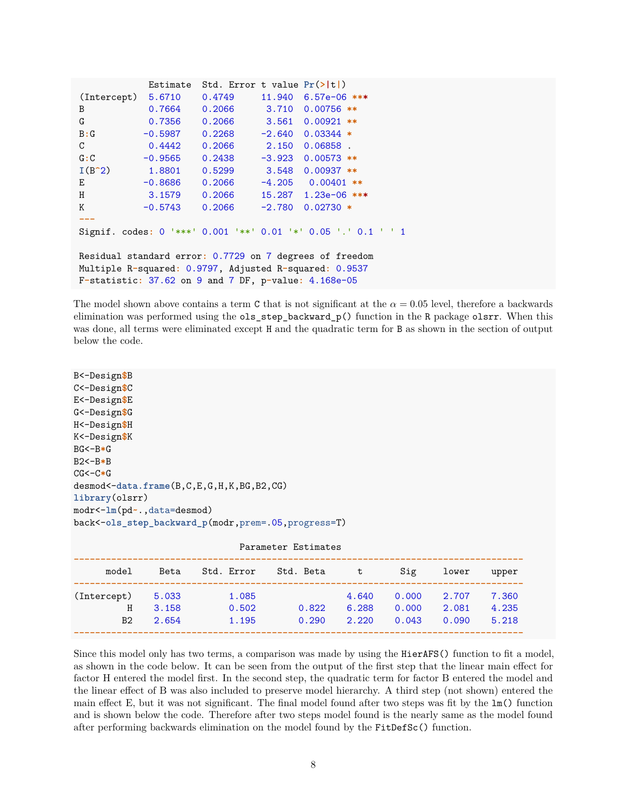```
Estimate Std. Error t value Pr(>|t|)
(Intercept) 5.6710 0.4749 11.940 6.57e-06 ***
B 0.7664 0.2066 3.710 0.00756 **
G 0.7356 0.2066 3.561 0.00921 **
B:G -0.5987 0.2268 -2.640 0.03344 *
C 0.4442 0.2066 2.150 0.06858 .
G:C -0.9565 0.2438 -3.923 0.00573 **
I(B^2) 1.8801 0.5299 3.548 0.00937 **
E -0.8686 0.2066 -4.205 0.00401 **
H 3.1579 0.2066 15.287 1.23e-06 ***
K -0.5743 0.2066 -2.780 0.02730 *
---
Signif. codes: 0 '***' 0.001 '**' 0.01 '*' 0.05 '.' 0.1 ' ' 1
Residual standard error: 0.7729 on 7 degrees of freedom
Multiple R-squared: 0.9797, Adjusted R-squared: 0.9537
F-statistic: 37.62 on 9 and 7 DF, p-value: 4.168e-05
```
The model shown above contains a term C that is not significant at the  $\alpha = 0.05$  level, therefore a backwards elimination was performed using the ols\_step\_backward\_p() function in the R package olsrr. When this was done, all terms were eliminated except H and the quadratic term for B as shown in the section of output below the code.

```
B<-Design$B
C<-Design$C
E<-Design$E
G<-Design$G
H<-Design$H
K<-Design$K
BG<-B*G
B2<-B*B
CG<-C*G
desmod<-data.frame(B,C,E,G,H,K,BG,B2,CG)
library(olsrr)
modr<-lm(pd~.,data=desmod)
back<-ols_step_backward_p(modr,prem=.05,progress=T)
```

| Parameter Estimates |       |            |           |       |       |       |       |
|---------------------|-------|------------|-----------|-------|-------|-------|-------|
| model               | Beta  | Std. Error | Std. Beta | t     | Sig   | lower | upper |
| (Intercept)         | 5.033 | 1.085      |           | 4.640 | 0.000 | 2.707 | 7.360 |
| Η                   | 3.158 | 0.502      | 0.822     | 6.288 | 0.000 | 2.081 | 4.235 |
| B <sub>2</sub>      | 2.654 | 1.195      | 0.290     | 2.220 | 0.043 | 0.090 | 5.218 |
|                     |       |            |           |       |       |       |       |

Since this model only has two terms, a comparison was made by using the HierAFS() function to fit a model, as shown in the code below. It can be seen from the output of the first step that the linear main effect for factor H entered the model first. In the second step, the quadratic term for factor B entered the model and the linear effect of B was also included to preserve model hierarchy. A third step (not shown) entered the main effect E, but it was not significant. The final model found after two steps was fit by the lm() function and is shown below the code. Therefore after two steps model found is the nearly same as the model found after performing backwards elimination on the model found by the FitDefSc() function.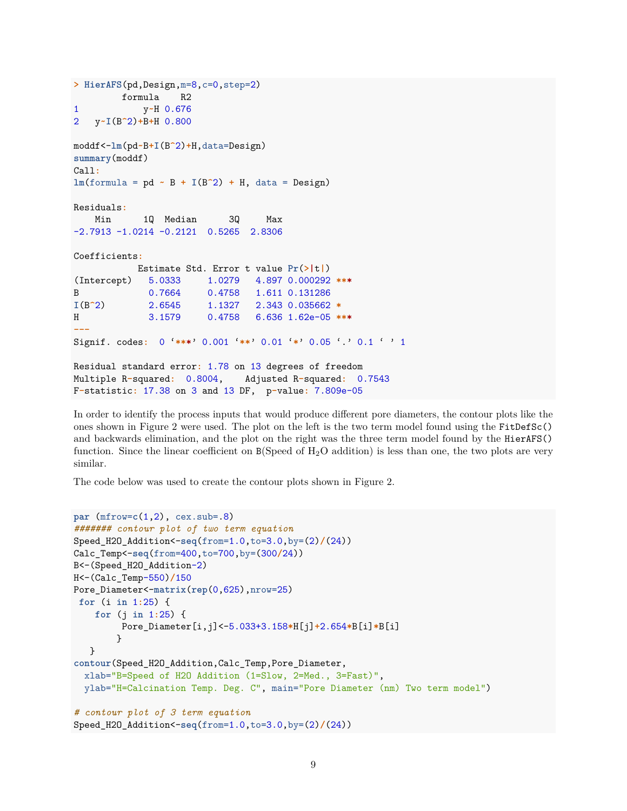```
> HierAFS(pd,Design,m=8,c=0,step=2)
        formula R2
1 y~H 0.676
2 y~I(B^2)+B+H 0.800
moddf<-lm(pd~B+I(B^2)+H,data=Design)
summary(moddf)
Call:
lm(formula = pd ~ B + I(B^2) + H, data = Design)
Residuals:
   Min 1Q Median 3Q Max
-2.7913 -1.0214 -0.2121 0.5265 2.8306
Coefficients:
          Estimate Std. Error t value Pr(>|t|)
(Intercept) 5.0333 1.0279 4.897 0.000292 ***
B 0.7664 0.4758 1.611 0.131286
I(B^2) 2.6545 1.1327 2.343 0.035662 *
H 3.1579 0.4758 6.636 1.62e-05 ***
---
Signif. codes: 0 '***' 0.001 '**' 0.01 '*' 0.05 '.' 0.1 ' ' 1
Residual standard error: 1.78 on 13 degrees of freedom
Multiple R-squared: 0.8004, Adjusted R-squared: 0.7543
F-statistic: 17.38 on 3 and 13 DF, p-value: 7.809e-05
```
In order to identify the process inputs that would produce different pore diameters, the contour plots like the ones shown in Figure 2 were used. The plot on the left is the two term model found using the FitDefSc() and backwards elimination, and the plot on the right was the three term model found by the HierAFS() function. Since the linear coefficient on B(Speed of H<sub>2</sub>O addition) is less than one, the two plots are very similar.

The code below was used to create the contour plots shown in Figure 2.

```
par (mfrow=c(1,2), cex.sub=.8)
####### contour plot of two term equation
Speed_H2O_Addition<-seq(from=1.0,to=3.0,by=(2)/(24))
Calc_Temp<-seq(from=400,to=700,by=(300/24))
B<-(Speed_H2O_Addition-2)
H<-(Calc_Temp-550)/150
Pore_Diameter<-matrix(rep(0,625),nrow=25)
for (i in 1:25) {
    for (j in 1:25) {
         Pore_Diameter[i,j]<-5.033+3.158*H[j]+2.654*B[i]*B[i]
        }
   }
contour(Speed_H2O_Addition,Calc_Temp,Pore_Diameter,
  xlab="B=Speed of H2O Addition (1=Slow, 2=Med., 3=Fast)",
  ylab="H=Calcination Temp. Deg. C", main="Pore Diameter (nm) Two term model")
# contour plot of 3 term equation
Speed_H2O_Addition<-seq(from=1.0,to=3.0,by=(2)/(24))
```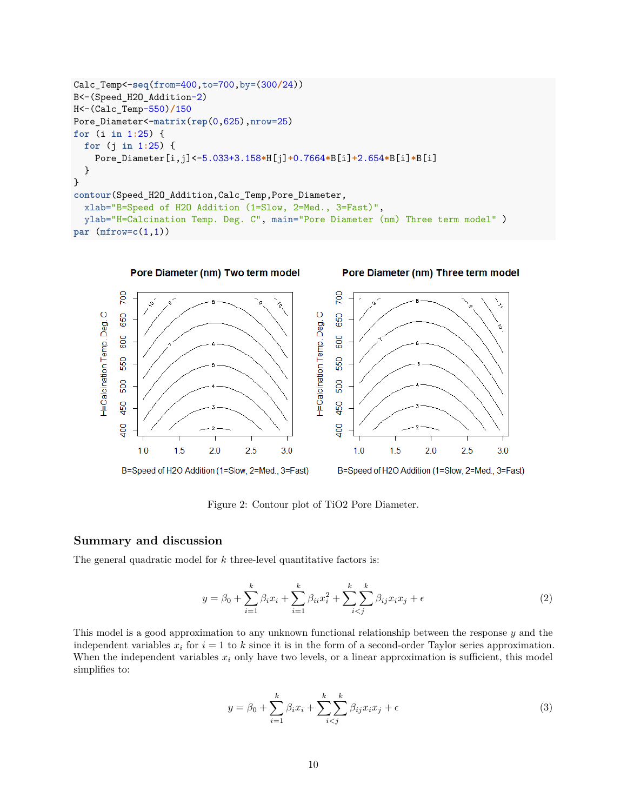```
Calc_Temp<-seq(from=400,to=700,by=(300/24))
B<-(Speed_H2O_Addition-2)
H<-(Calc_Temp-550)/150
Pore_Diameter<-matrix(rep(0,625),nrow=25)
for (i in 1:25) {
  for (j in 1:25) {
    Pore_Diameter[i,j]<-5.033+3.158*H[j]+0.7664*B[i]+2.654*B[i]*B[i]
  }
}
contour(Speed_H2O_Addition,Calc_Temp,Pore_Diameter,
  xlab="B=Speed of H2O Addition (1=Slow, 2=Med., 3=Fast)",
  ylab="H=Calcination Temp. Deg. C", main="Pore Diameter (nm) Three term model" )
par (mfrow=c(1,1))
```


Figure 2: Contour plot of TiO2 Pore Diameter.

## **Summary and discussion**

The general quadratic model for *k* three-level quantitative factors is:

$$
y = \beta_0 + \sum_{i=1}^{k} \beta_i x_i + \sum_{i=1}^{k} \beta_{ii} x_i^2 + \sum_{i < j}^{k} \sum_{j < j}^{k} \beta_{ij} x_i x_j + \epsilon \tag{2}
$$

This model is a good approximation to any unknown functional relationship between the response *y* and the independent variables  $x_i$  for  $i = 1$  to  $k$  since it is in the form of a second-order Taylor series approximation. When the independent variables  $x_i$  only have two levels, or a linear approximation is sufficient, this model simplifies to:

$$
y = \beta_0 + \sum_{i=1}^{k} \beta_i x_i + \sum_{i < j}^{k} \beta_{ij} x_i x_j + \epsilon \tag{3}
$$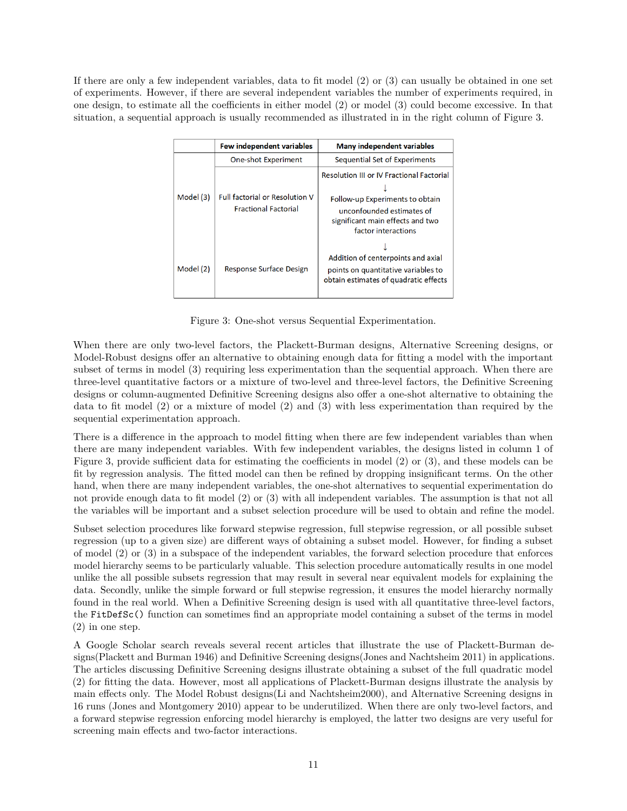If there are only a few independent variables, data to fit model (2) or (3) can usually be obtained in one set of experiments. However, if there are several independent variables the number of experiments required, in one design, to estimate all the coefficients in either model (2) or model (3) could become excessive. In that situation, a sequential approach is usually recommended as illustrated in in the right column of Figure 3.

|           | <b>Few independent variables</b>                                     | <b>Many independent variables</b>                                                                                                                                           |
|-----------|----------------------------------------------------------------------|-----------------------------------------------------------------------------------------------------------------------------------------------------------------------------|
|           | <b>One-shot Experiment</b>                                           | Sequential Set of Experiments                                                                                                                                               |
| Model (3) | <b>Full factorial or Resolution V</b><br><b>Fractional Factorial</b> | <b>Resolution III or IV Fractional Factorial</b><br>Follow-up Experiments to obtain<br>unconfounded estimates of<br>significant main effects and two<br>factor interactions |
| Model (2) | Response Surface Design                                              | Addition of centerpoints and axial<br>points on quantitative variables to<br>obtain estimates of quadratic effects                                                          |

Figure 3: One-shot versus Sequential Experimentation.

When there are only two-level factors, the Plackett-Burman designs, Alternative Screening designs, or Model-Robust designs offer an alternative to obtaining enough data for fitting a model with the important subset of terms in model (3) requiring less experimentation than the sequential approach. When there are three-level quantitative factors or a mixture of two-level and three-level factors, the Definitive Screening designs or column-augmented Definitive Screening designs also offer a one-shot alternative to obtaining the data to fit model (2) or a mixture of model (2) and (3) with less experimentation than required by the sequential experimentation approach.

There is a difference in the approach to model fitting when there are few independent variables than when there are many independent variables. With few independent variables, the designs listed in column 1 of Figure 3, provide sufficient data for estimating the coefficients in model (2) or (3), and these models can be fit by regression analysis. The fitted model can then be refined by dropping insignificant terms. On the other hand, when there are many independent variables, the one-shot alternatives to sequential experimentation do not provide enough data to fit model (2) or (3) with all independent variables. The assumption is that not all the variables will be important and a subset selection procedure will be used to obtain and refine the model.

Subset selection procedures like forward stepwise regression, full stepwise regression, or all possible subset regression (up to a given size) are different ways of obtaining a subset model. However, for finding a subset of model (2) or (3) in a subspace of the independent variables, the forward selection procedure that enforces model hierarchy seems to be particularly valuable. This selection procedure automatically results in one model unlike the all possible subsets regression that may result in several near equivalent models for explaining the data. Secondly, unlike the simple forward or full stepwise regression, it ensures the model hierarchy normally found in the real world. When a Definitive Screening design is used with all quantitative three-level factors, the FitDefSc() function can sometimes find an appropriate model containing a subset of the terms in model (2) in one step.

A Google Scholar search reveals several recent articles that illustrate the use of Plackett-Burman designs(Plackett and Burman 1946) and Definitive Screening designs(Jones and Nachtsheim 2011) in applications. The articles discussing Definitive Screening designs illustrate obtaining a subset of the full quadratic model (2) for fitting the data. However, most all applications of Plackett-Burman designs illustrate the analysis by main effects only. The Model Robust designs(Li and Nachtsheim2000), and Alternative Screening designs in 16 runs (Jones and Montgomery 2010) appear to be underutilized. When there are only two-level factors, and a forward stepwise regression enforcing model hierarchy is employed, the latter two designs are very useful for screening main effects and two-factor interactions.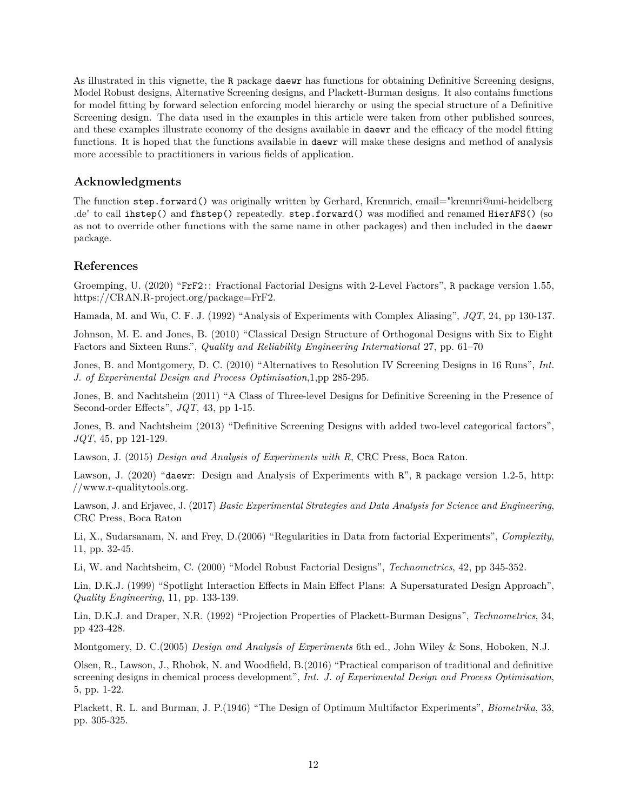As illustrated in this vignette, the R package daewr has functions for obtaining Definitive Screening designs, Model Robust designs, Alternative Screening designs, and Plackett-Burman designs. It also contains functions for model fitting by forward selection enforcing model hierarchy or using the special structure of a Definitive Screening design. The data used in the examples in this article were taken from other published sources, and these examples illustrate economy of the designs available in daewr and the efficacy of the model fitting functions. It is hoped that the functions available in daewr will make these designs and method of analysis more accessible to practitioners in various fields of application.

## **Acknowledgments**

The function step.forward() was originally written by Gerhard, Krennrich, [email="krennri@uni-heidelberg](mailto:email=%22krennri@uni-heidelberg.de) [.de"](mailto:email=%22krennri@uni-heidelberg.de) to call ihstep() and fhstep() repeatedly. step.forward() was modified and renamed HierAFS() (so as not to override other functions with the same name in other packages) and then included in the daewr package.

# **References**

Groemping, U. (2020) "FrF2:: Fractional Factorial Designs with 2-Level Factors", R package version 1.55, [https://CRAN.R-project.org/package=FrF2.](https://CRAN.R-project.org/package=FrF2)

Hamada, M. and Wu, C. F. J. (1992) "Analysis of Experiments with Complex Aliasing", *JQT*, 24, pp 130-137.

Johnson, M. E. and Jones, B. (2010) "Classical Design Structure of Orthogonal Designs with Six to Eight Factors and Sixteen Runs.", *Quality and Reliability Engineering International* 27, pp. 61–70

Jones, B. and Montgomery, D. C. (2010) "Alternatives to Resolution IV Screening Designs in 16 Runs", *Int. J. of Experimental Design and Process Optimisation*,1,pp 285-295.

Jones, B. and Nachtsheim (2011) "A Class of Three-level Designs for Definitive Screening in the Presence of Second-order Effects", *JQT*, 43, pp 1-15.

Jones, B. and Nachtsheim (2013) "Definitive Screening Designs with added two-level categorical factors", *JQT*, 45, pp 121-129.

Lawson, J. (2015) *Design and Analysis of Experiments with R*, CRC Press, Boca Raton.

Lawson, J. (2020) "daewr: Design and Analysis of Experiments with R", R package version 1.2-5, [http:](http://www.r-qualitytools.org) [//www.r-qualitytools.org.](http://www.r-qualitytools.org)

Lawson, J. and Erjavec, J. (2017) *Basic Experimental Strategies and Data Analysis for Science and Engineering*, CRC Press, Boca Raton

Li, X., Sudarsanam, N. and Frey, D.(2006) "Regularities in Data from factorial Experiments", *Complexity*, 11, pp. 32-45.

Li, W. and Nachtsheim, C. (2000) "Model Robust Factorial Designs", *Technometrics*, 42, pp 345-352.

Lin, D.K.J. (1999) "Spotlight Interaction Effects in Main Effect Plans: A Supersaturated Design Approach", *Quality Engineering*, 11, pp. 133-139.

Lin, D.K.J. and Draper, N.R. (1992) "Projection Properties of Plackett-Burman Designs", *Technometrics*, 34, pp 423-428.

Montgomery, D. C.(2005) *Design and Analysis of Experiments* 6th ed., John Wiley & Sons, Hoboken, N.J.

Olsen, R., Lawson, J., Rhobok, N. and Woodfield, B.(2016) "Practical comparison of traditional and definitive screening designs in chemical process development", *Int. J. of Experimental Design and Process Optimisation*, 5, pp. 1-22.

Plackett, R. L. and Burman, J. P.(1946) "The Design of Optimum Multifactor Experiments", *Biometrika*, 33, pp. 305-325.